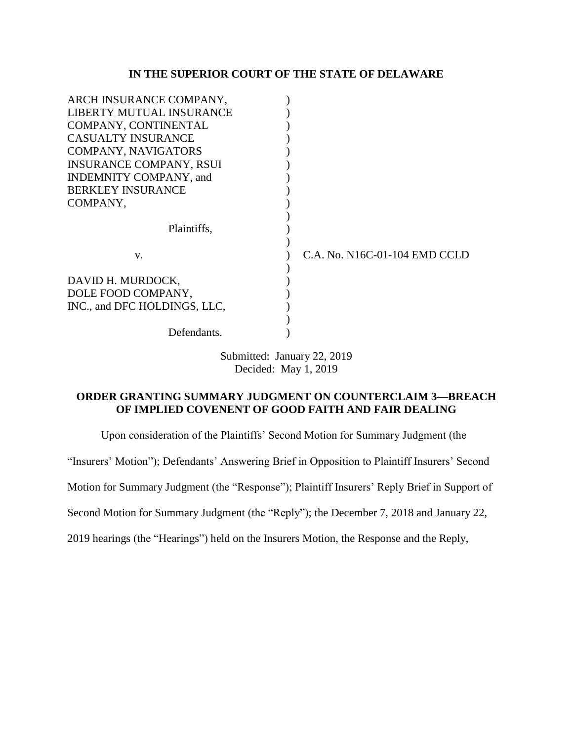# **IN THE SUPERIOR COURT OF THE STATE OF DELAWARE**

| ARCH INSURANCE COMPANY,        |                               |
|--------------------------------|-------------------------------|
| LIBERTY MUTUAL INSURANCE       |                               |
| COMPANY, CONTINENTAL           |                               |
| <b>CASUALTY INSURANCE</b>      |                               |
| <b>COMPANY, NAVIGATORS</b>     |                               |
| <b>INSURANCE COMPANY, RSUI</b> |                               |
| INDEMNITY COMPANY, and         |                               |
| <b>BERKLEY INSURANCE</b>       |                               |
| COMPANY,                       |                               |
|                                |                               |
| Plaintiffs,                    |                               |
|                                |                               |
| V.                             | C.A. No. N16C-01-104 EMD CCLD |
| DAVID H. MURDOCK,              |                               |
| DOLE FOOD COMPANY,             |                               |
| INC., and DFC HOLDINGS, LLC,   |                               |
|                                |                               |
| Defendants.                    |                               |
|                                |                               |

Submitted: January 22, 2019 Decided: May 1, 2019

# **ORDER GRANTING SUMMARY JUDGMENT ON COUNTERCLAIM 3—BREACH OF IMPLIED COVENENT OF GOOD FAITH AND FAIR DEALING**

Upon consideration of the Plaintiffs' Second Motion for Summary Judgment (the

"Insurers' Motion"); Defendants' Answering Brief in Opposition to Plaintiff Insurers' Second

Motion for Summary Judgment (the "Response"); Plaintiff Insurers' Reply Brief in Support of

Second Motion for Summary Judgment (the "Reply"); the December 7, 2018 and January 22,

2019 hearings (the "Hearings") held on the Insurers Motion, the Response and the Reply,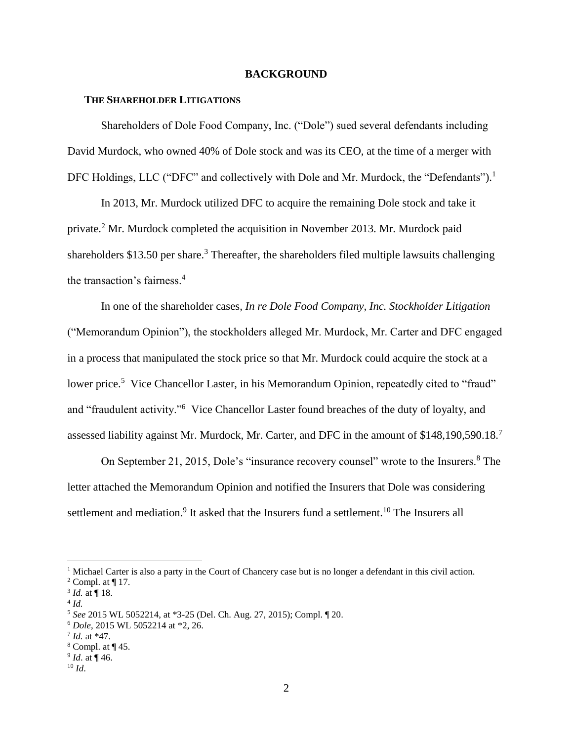#### **BACKGROUND**

## **THE SHAREHOLDER LITIGATIONS**

Shareholders of Dole Food Company, Inc. ("Dole") sued several defendants including David Murdock, who owned 40% of Dole stock and was its CEO, at the time of a merger with DFC Holdings, LLC ("DFC" and collectively with Dole and Mr. Murdock, the "Defendants").<sup>1</sup>

In 2013, Mr. Murdock utilized DFC to acquire the remaining Dole stock and take it private.<sup>2</sup> Mr. Murdock completed the acquisition in November 2013. Mr. Murdock paid shareholders  $$13.50$  per share.<sup>3</sup> Thereafter, the shareholders filed multiple lawsuits challenging the transaction's fairness.<sup>4</sup>

In one of the shareholder cases*, In re Dole Food Company, Inc. Stockholder Litigation* ("Memorandum Opinion"), the stockholders alleged Mr. Murdock, Mr. Carter and DFC engaged in a process that manipulated the stock price so that Mr. Murdock could acquire the stock at a lower price.<sup>5</sup> Vice Chancellor Laster, in his Memorandum Opinion, repeatedly cited to "fraud" and "fraudulent activity."<sup>6</sup> Vice Chancellor Laster found breaches of the duty of loyalty, and assessed liability against Mr. Murdock, Mr. Carter, and DFC in the amount of \$148,190,590.18.<sup>7</sup>

On September 21, 2015, Dole's "insurance recovery counsel" wrote to the Insurers.<sup>8</sup> The letter attached the Memorandum Opinion and notified the Insurers that Dole was considering settlement and mediation.<sup>9</sup> It asked that the Insurers fund a settlement.<sup>10</sup> The Insurers all

<sup>&</sup>lt;sup>1</sup> Michael Carter is also a party in the Court of Chancery case but is no longer a defendant in this civil action.

<sup>&</sup>lt;sup>2</sup> Compl. at  $\P$  17.

 $3$  *Id.* at  $\P$  18.

<sup>4</sup> *Id.*

<sup>5</sup> *See* 2015 WL 5052214, at \*3-25 (Del. Ch. Aug. 27, 2015); Compl. ¶ 20.

<sup>6</sup> *Dole*, 2015 WL 5052214 at \*2, 26.

<sup>7</sup> *Id.* at \*47.

 $8$  Compl. at  $\P$  45.

<sup>9</sup> *Id*. at ¶ 46.

<sup>10</sup> *Id*.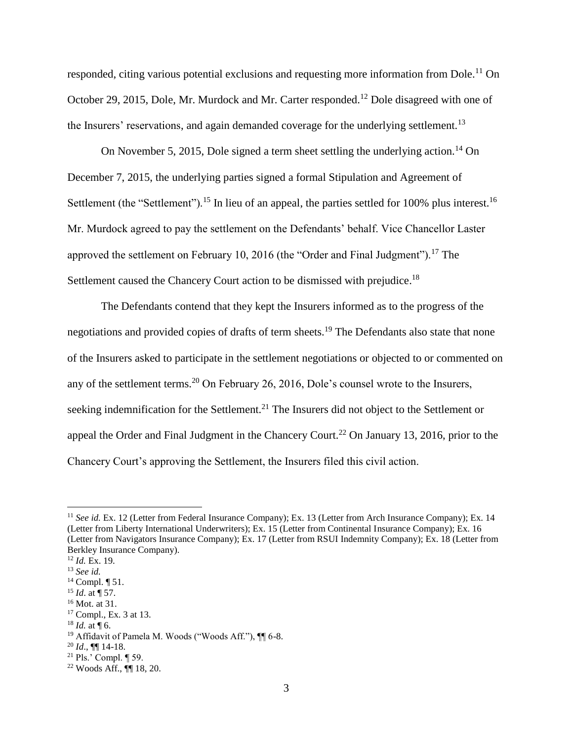responded, citing various potential exclusions and requesting more information from Dole.<sup>11</sup> On October 29, 2015, Dole, Mr. Murdock and Mr. Carter responded.<sup>12</sup> Dole disagreed with one of the Insurers' reservations, and again demanded coverage for the underlying settlement.<sup>13</sup>

On November 5, 2015, Dole signed a term sheet settling the underlying action.<sup>14</sup> On December 7, 2015, the underlying parties signed a formal Stipulation and Agreement of Settlement (the "Settlement").<sup>15</sup> In lieu of an appeal, the parties settled for 100% plus interest.<sup>16</sup> Mr. Murdock agreed to pay the settlement on the Defendants' behalf. Vice Chancellor Laster approved the settlement on February 10, 2016 (the "Order and Final Judgment").<sup>17</sup> The Settlement caused the Chancery Court action to be dismissed with prejudice.<sup>18</sup>

The Defendants contend that they kept the Insurers informed as to the progress of the negotiations and provided copies of drafts of term sheets.<sup>19</sup> The Defendants also state that none of the Insurers asked to participate in the settlement negotiations or objected to or commented on any of the settlement terms.<sup>20</sup> On February 26, 2016, Dole's counsel wrote to the Insurers, seeking indemnification for the Settlement.<sup>21</sup> The Insurers did not object to the Settlement or appeal the Order and Final Judgment in the Chancery Court.<sup>22</sup> On January 13, 2016, prior to the Chancery Court's approving the Settlement, the Insurers filed this civil action.

 $\overline{a}$ 

 $18$  *Id.* at ¶ 6.

<sup>&</sup>lt;sup>11</sup> *See id.* Ex. 12 (Letter from Federal Insurance Company); Ex. 13 (Letter from Arch Insurance Company); Ex. 14 (Letter from Liberty International Underwriters); Ex. 15 (Letter from Continental Insurance Company); Ex. 16 (Letter from Navigators Insurance Company); Ex. 17 (Letter from RSUI Indemnity Company); Ex. 18 (Letter from Berkley Insurance Company).

<sup>12</sup> *Id.* Ex. 19.

<sup>13</sup> *See id.*

<sup>14</sup> Compl. ¶ 51.

<sup>15</sup> *Id*. at ¶ 57.

<sup>16</sup> Mot. at 31.

<sup>&</sup>lt;sup>17</sup> Compl., Ex. 3 at 13.

<sup>&</sup>lt;sup>19</sup> Affidavit of Pamela M. Woods ("Woods Aff."),  $\P$ [6-8.

<sup>20</sup> *Id*., ¶¶ 14-18.

<sup>21</sup> Pls.' Compl. ¶ 59.

<sup>22</sup> Woods Aff., ¶¶ 18, 20.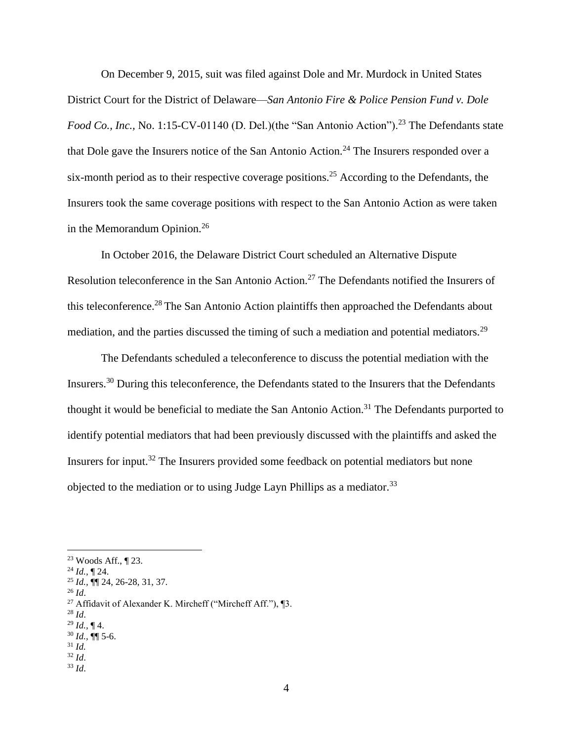On December 9, 2015, suit was filed against Dole and Mr. Murdock in United States District Court for the District of Delaware—*San Antonio Fire & Police Pension Fund v. Dole Food Co., Inc., No.* 1:15-CV-01140 (D. Del.)(the "San Antonio Action").<sup>23</sup> The Defendants state that Dole gave the Insurers notice of the San Antonio Action.<sup>24</sup> The Insurers responded over a six-month period as to their respective coverage positions.<sup>25</sup> According to the Defendants, the Insurers took the same coverage positions with respect to the San Antonio Action as were taken in the Memorandum Opinion.<sup>26</sup>

In October 2016, the Delaware District Court scheduled an Alternative Dispute Resolution teleconference in the San Antonio Action.<sup>27</sup> The Defendants notified the Insurers of this teleconference.<sup>28</sup> The San Antonio Action plaintiffs then approached the Defendants about mediation, and the parties discussed the timing of such a mediation and potential mediators.<sup>29</sup>

The Defendants scheduled a teleconference to discuss the potential mediation with the Insurers.<sup>30</sup> During this teleconference, the Defendants stated to the Insurers that the Defendants thought it would be beneficial to mediate the San Antonio Action.<sup>31</sup> The Defendants purported to identify potential mediators that had been previously discussed with the plaintiffs and asked the Insurers for input.<sup>32</sup> The Insurers provided some feedback on potential mediators but none objected to the mediation or to using Judge Layn Phillips as a mediator.<sup>33</sup>

<sup>26</sup> *Id*.

 $\overline{a}$ 

 $^{28}$  *Id.* 

- <sup>32</sup> *Id*.
- <sup>33</sup> *Id*.

<sup>23</sup> Woods Aff., ¶ 23.

<sup>24</sup> *Id.,* ¶ 24.

<sup>25</sup> *Id.,* ¶¶ 24, 26-28, 31, 37.

<sup>27</sup> Affidavit of Alexander K. Mircheff ("Mircheff Aff."), ¶3.

<sup>29</sup> *Id.,* ¶ 4.

<sup>30</sup> *Id.,* ¶¶ 5-6. <sup>31</sup> *Id.*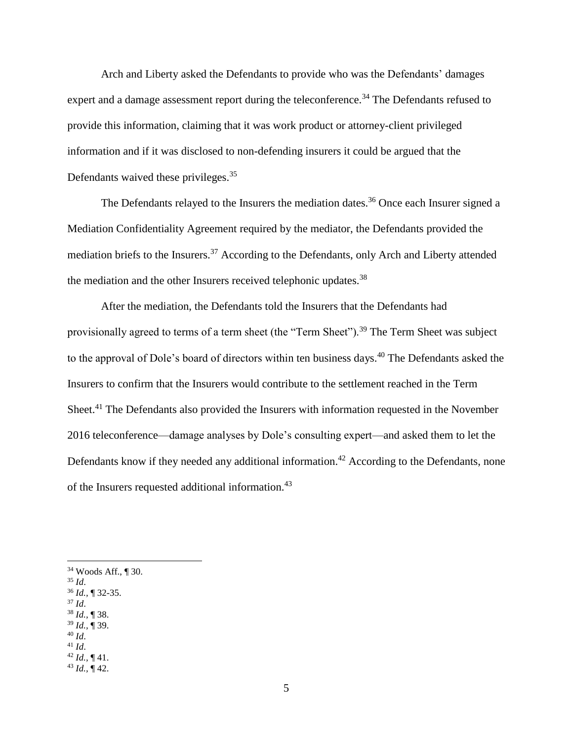Arch and Liberty asked the Defendants to provide who was the Defendants' damages expert and a damage assessment report during the teleconference.<sup>34</sup> The Defendants refused to provide this information, claiming that it was work product or attorney-client privileged information and if it was disclosed to non-defending insurers it could be argued that the Defendants waived these privileges.<sup>35</sup>

The Defendants relayed to the Insurers the mediation dates.<sup>36</sup> Once each Insurer signed a Mediation Confidentiality Agreement required by the mediator, the Defendants provided the mediation briefs to the Insurers.<sup>37</sup> According to the Defendants, only Arch and Liberty attended the mediation and the other Insurers received telephonic updates.<sup>38</sup>

After the mediation, the Defendants told the Insurers that the Defendants had provisionally agreed to terms of a term sheet (the "Term Sheet").<sup>39</sup> The Term Sheet was subject to the approval of Dole's board of directors within ten business days.<sup>40</sup> The Defendants asked the Insurers to confirm that the Insurers would contribute to the settlement reached in the Term Sheet.<sup>41</sup> The Defendants also provided the Insurers with information requested in the November 2016 teleconference—damage analyses by Dole's consulting expert—and asked them to let the Defendants know if they needed any additional information.<sup>42</sup> According to the Defendants, none of the Insurers requested additional information.<sup>43</sup>

<sup>35</sup> *Id*.

 $\overline{a}$ 

<sup>37</sup> *Id*. <sup>38</sup> *Id.,* ¶ 38.

- <sup>40</sup> *Id*.
- <sup>41</sup> *Id*.

<sup>34</sup> Woods Aff., ¶ 30.

<sup>36</sup> *Id.,* ¶ 32-35.

<sup>39</sup> *Id.,* ¶ 39.

<sup>42</sup> *Id.,* ¶ 41.

<sup>43</sup> *Id.,* ¶ 42.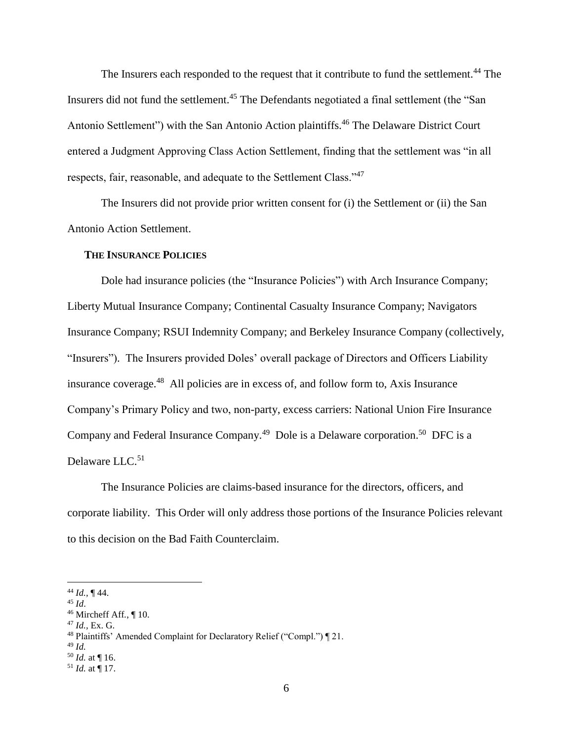The Insurers each responded to the request that it contribute to fund the settlement.<sup>44</sup> The Insurers did not fund the settlement.<sup>45</sup> The Defendants negotiated a final settlement (the "San Antonio Settlement") with the San Antonio Action plaintiffs.<sup>46</sup> The Delaware District Court entered a Judgment Approving Class Action Settlement, finding that the settlement was "in all respects, fair, reasonable, and adequate to the Settlement Class."<sup>47</sup>

The Insurers did not provide prior written consent for (i) the Settlement or (ii) the San Antonio Action Settlement.

#### **THE INSURANCE POLICIES**

Dole had insurance policies (the "Insurance Policies") with Arch Insurance Company; Liberty Mutual Insurance Company; Continental Casualty Insurance Company; Navigators Insurance Company; RSUI Indemnity Company; and Berkeley Insurance Company (collectively, "Insurers"). The Insurers provided Doles' overall package of Directors and Officers Liability insurance coverage.<sup>48</sup> All policies are in excess of, and follow form to, Axis Insurance Company's Primary Policy and two, non-party, excess carriers: National Union Fire Insurance Company and Federal Insurance Company.<sup>49</sup> Dole is a Delaware corporation.<sup>50</sup> DFC is a Delaware LLC.<sup>51</sup>

The Insurance Policies are claims-based insurance for the directors, officers, and corporate liability. This Order will only address those portions of the Insurance Policies relevant to this decision on the Bad Faith Counterclaim.

 $\overline{a}$ 

<sup>47</sup> *Id.,* Ex. G.

<sup>50</sup> *Id.* at ¶ 16.

<sup>44</sup> *Id.,* ¶ 44.

<sup>45</sup> *Id*.

<sup>46</sup> Mircheff Aff*.*, ¶ 10.

<sup>48</sup> Plaintiffs' Amended Complaint for Declaratory Relief ("Compl.") ¶ 21.

<sup>49</sup> *Id.*

 $51$  *Id.* at  $\P$  17.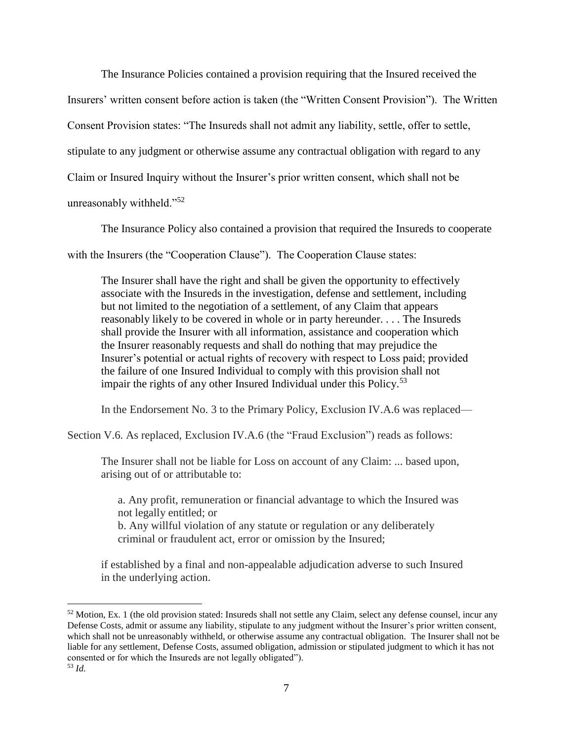The Insurance Policies contained a provision requiring that the Insured received the Insurers' written consent before action is taken (the "Written Consent Provision"). The Written Consent Provision states: "The Insureds shall not admit any liability, settle, offer to settle, stipulate to any judgment or otherwise assume any contractual obligation with regard to any Claim or Insured Inquiry without the Insurer's prior written consent, which shall not be unreasonably withheld."<sup>52</sup>

The Insurance Policy also contained a provision that required the Insureds to cooperate with the Insurers (the "Cooperation Clause"). The Cooperation Clause states:

The Insurer shall have the right and shall be given the opportunity to effectively associate with the Insureds in the investigation, defense and settlement, including but not limited to the negotiation of a settlement, of any Claim that appears reasonably likely to be covered in whole or in party hereunder. . . . The Insureds shall provide the Insurer with all information, assistance and cooperation which the Insurer reasonably requests and shall do nothing that may prejudice the Insurer's potential or actual rights of recovery with respect to Loss paid; provided the failure of one Insured Individual to comply with this provision shall not impair the rights of any other Insured Individual under this Policy.<sup>53</sup>

In the Endorsement No. 3 to the Primary Policy, Exclusion IV.A.6 was replaced—

Section V.6. As replaced, Exclusion IV.A.6 (the "Fraud Exclusion") reads as follows:

The Insurer shall not be liable for Loss on account of any Claim: ... based upon, arising out of or attributable to:

a. Any profit, remuneration or financial advantage to which the Insured was not legally entitled; or

b. Any willful violation of any statute or regulation or any deliberately criminal or fraudulent act, error or omission by the Insured;

if established by a final and non-appealable adjudication adverse to such Insured in the underlying action.

 $52$  Motion, Ex. 1 (the old provision stated: Insureds shall not settle any Claim, select any defense counsel, incur any Defense Costs, admit or assume any liability, stipulate to any judgment without the Insurer's prior written consent, which shall not be unreasonably withheld, or otherwise assume any contractual obligation. The Insurer shall not be liable for any settlement, Defense Costs, assumed obligation, admission or stipulated judgment to which it has not consented or for which the Insureds are not legally obligated"). <sup>53</sup> *Id.*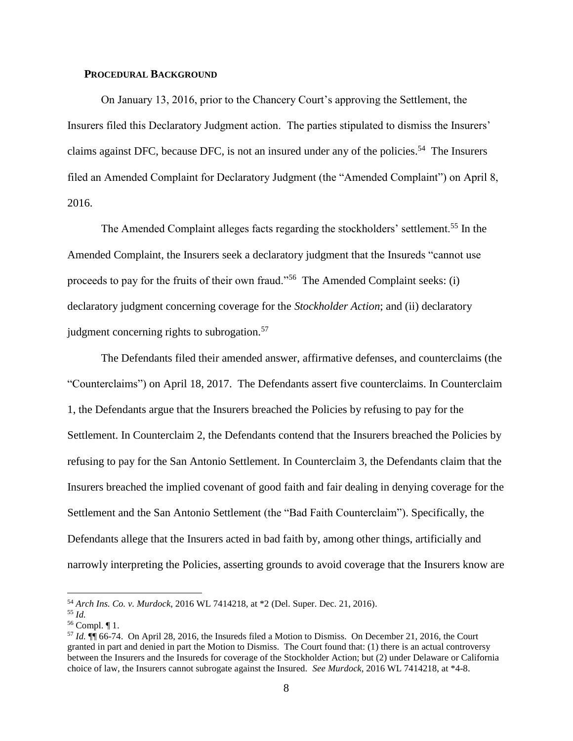## **PROCEDURAL BACKGROUND**

On January 13, 2016, prior to the Chancery Court's approving the Settlement, the Insurers filed this Declaratory Judgment action. The parties stipulated to dismiss the Insurers' claims against DFC, because DFC, is not an insured under any of the policies.<sup>54</sup> The Insurers filed an Amended Complaint for Declaratory Judgment (the "Amended Complaint") on April 8, 2016.

The Amended Complaint alleges facts regarding the stockholders' settlement.<sup>55</sup> In the Amended Complaint, the Insurers seek a declaratory judgment that the Insureds "cannot use proceeds to pay for the fruits of their own fraud."<sup>56</sup> The Amended Complaint seeks: (i) declaratory judgment concerning coverage for the *Stockholder Action*; and (ii) declaratory judgment concerning rights to subrogation.<sup>57</sup>

The Defendants filed their amended answer, affirmative defenses, and counterclaims (the "Counterclaims") on April 18, 2017. The Defendants assert five counterclaims. In Counterclaim 1, the Defendants argue that the Insurers breached the Policies by refusing to pay for the Settlement. In Counterclaim 2, the Defendants contend that the Insurers breached the Policies by refusing to pay for the San Antonio Settlement. In Counterclaim 3, the Defendants claim that the Insurers breached the implied covenant of good faith and fair dealing in denying coverage for the Settlement and the San Antonio Settlement (the "Bad Faith Counterclaim"). Specifically, the Defendants allege that the Insurers acted in bad faith by, among other things, artificially and narrowly interpreting the Policies, asserting grounds to avoid coverage that the Insurers know are

<sup>54</sup> *Arch Ins. Co. v. Murdock*, 2016 WL 7414218, at \*2 (Del. Super. Dec. 21, 2016).

<sup>55</sup> *Id.*

<sup>56</sup> Compl. ¶ 1.

<sup>57</sup> *Id.* ¶¶ 66-74. On April 28, 2016, the Insureds filed a Motion to Dismiss. On December 21, 2016, the Court granted in part and denied in part the Motion to Dismiss. The Court found that: (1) there is an actual controversy between the Insurers and the Insureds for coverage of the Stockholder Action; but (2) under Delaware or California choice of law, the Insurers cannot subrogate against the Insured. *See Murdock*, 2016 WL 7414218, at \*4-8.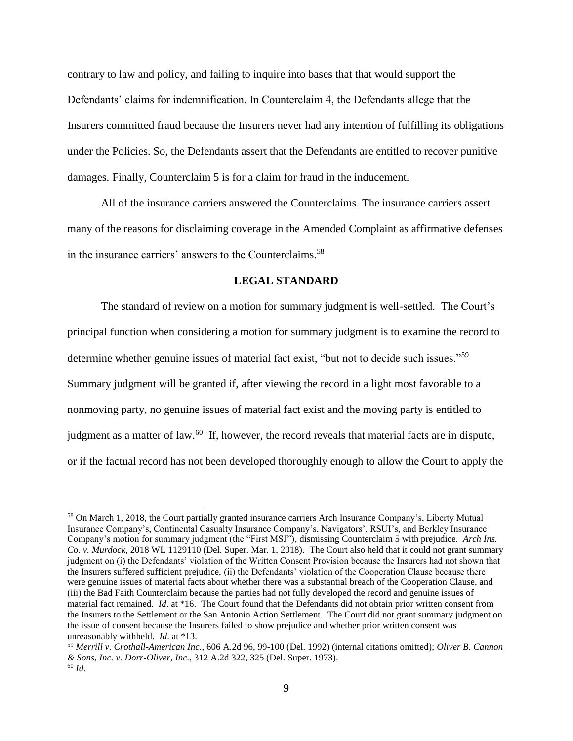contrary to law and policy, and failing to inquire into bases that that would support the Defendants' claims for indemnification. In Counterclaim 4, the Defendants allege that the Insurers committed fraud because the Insurers never had any intention of fulfilling its obligations under the Policies. So, the Defendants assert that the Defendants are entitled to recover punitive damages. Finally, Counterclaim 5 is for a claim for fraud in the inducement.

All of the insurance carriers answered the Counterclaims. The insurance carriers assert many of the reasons for disclaiming coverage in the Amended Complaint as affirmative defenses in the insurance carriers' answers to the Counterclaims.<sup>58</sup>

## **LEGAL STANDARD**

The standard of review on a motion for summary judgment is well-settled. The Court's principal function when considering a motion for summary judgment is to examine the record to determine whether genuine issues of material fact exist, "but not to decide such issues."<sup>59</sup> Summary judgment will be granted if, after viewing the record in a light most favorable to a nonmoving party, no genuine issues of material fact exist and the moving party is entitled to judgment as a matter of law.<sup>60</sup> If, however, the record reveals that material facts are in dispute, or if the factual record has not been developed thoroughly enough to allow the Court to apply the

<sup>58</sup> On March 1, 2018, the Court partially granted insurance carriers Arch Insurance Company's, Liberty Mutual Insurance Company's, Continental Casualty Insurance Company's, Navigators', RSUI's, and Berkley Insurance Company's motion for summary judgment (the "First MSJ"), dismissing Counterclaim 5 with prejudice. *Arch Ins. Co. v. Murdock*, 2018 WL 1129110 (Del. Super. Mar. 1, 2018). The Court also held that it could not grant summary judgment on (i) the Defendants' violation of the Written Consent Provision because the Insurers had not shown that the Insurers suffered sufficient prejudice, (ii) the Defendants' violation of the Cooperation Clause because there were genuine issues of material facts about whether there was a substantial breach of the Cooperation Clause, and (iii) the Bad Faith Counterclaim because the parties had not fully developed the record and genuine issues of material fact remained. *Id*. at \*16. The Court found that the Defendants did not obtain prior written consent from the Insurers to the Settlement or the San Antonio Action Settlement. The Court did not grant summary judgment on the issue of consent because the Insurers failed to show prejudice and whether prior written consent was unreasonably withheld. *Id*. at \*13.

<sup>59</sup> *Merrill v. Crothall-American Inc.*, 606 A.2d 96, 99-100 (Del. 1992) (internal citations omitted); *Oliver B. Cannon & Sons, Inc. v. Dorr-Oliver, Inc.*, 312 A.2d 322, 325 (Del. Super. 1973). <sup>60</sup> *Id.*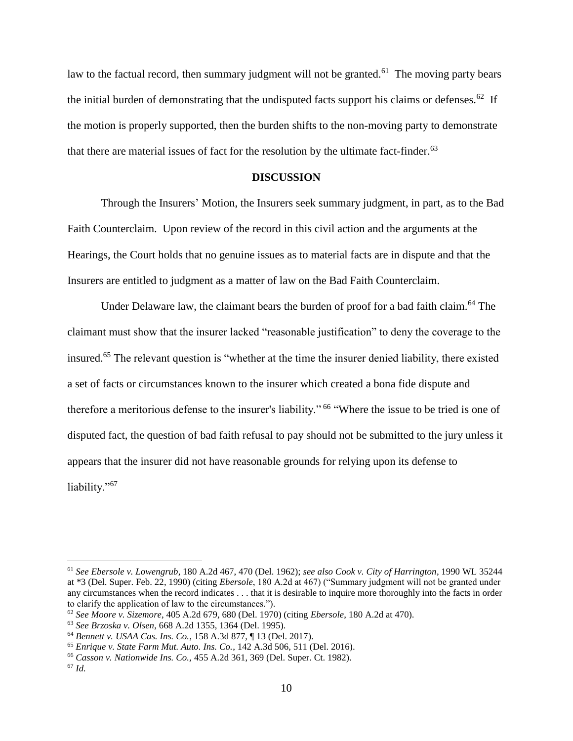law to the factual record, then summary judgment will not be granted.<sup>61</sup> The moving party bears the initial burden of demonstrating that the undisputed facts support his claims or defenses.<sup>62</sup> If the motion is properly supported, then the burden shifts to the non-moving party to demonstrate that there are material issues of fact for the resolution by the ultimate fact-finder.<sup>63</sup>

# **DISCUSSION**

Through the Insurers' Motion, the Insurers seek summary judgment, in part, as to the Bad Faith Counterclaim. Upon review of the record in this civil action and the arguments at the Hearings, the Court holds that no genuine issues as to material facts are in dispute and that the Insurers are entitled to judgment as a matter of law on the Bad Faith Counterclaim.

Under Delaware law, the claimant bears the burden of proof for a bad faith claim.<sup>64</sup> The claimant must show that the insurer lacked "reasonable justification" to deny the coverage to the insured.<sup>65</sup> The relevant question is "whether at the time the insurer denied liability, there existed a set of facts or circumstances known to the insurer which created a bona fide dispute and therefore a meritorious defense to the insurer's liability." <sup>66</sup> "Where the issue to be tried is one of disputed fact, the question of bad faith refusal to pay should not be submitted to the jury unless it appears that the insurer did not have reasonable grounds for relying upon its defense to liability."<sup>67</sup>

<sup>61</sup> *See Ebersole v. Lowengrub*, 180 A.2d 467, 470 (Del. 1962); *see also Cook v. City of Harrington*, 1990 WL 35244 at \*3 (Del. Super. Feb. 22, 1990) (citing *Ebersole*, 180 A.2d at 467) ("Summary judgment will not be granted under any circumstances when the record indicates . . . that it is desirable to inquire more thoroughly into the facts in order to clarify the application of law to the circumstances.").

<sup>62</sup> *See Moore v. Sizemore*, 405 A.2d 679, 680 (Del. 1970) (citing *Ebersole*, 180 A.2d at 470).

<sup>63</sup> *See Brzoska v. Olsen*, 668 A.2d 1355, 1364 (Del. 1995).

<sup>64</sup> *Bennett v. USAA Cas. Ins. Co.*, 158 A.3d 877, ¶ 13 (Del. 2017).

<sup>65</sup> *Enrique v. State Farm Mut. Auto. Ins. Co.*, 142 A.3d 506, 511 (Del. 2016).

<sup>66</sup> *Casson v. Nationwide Ins. Co.,* 455 A.2d 361, 369 (Del. Super. Ct. 1982).

<sup>67</sup> *Id.*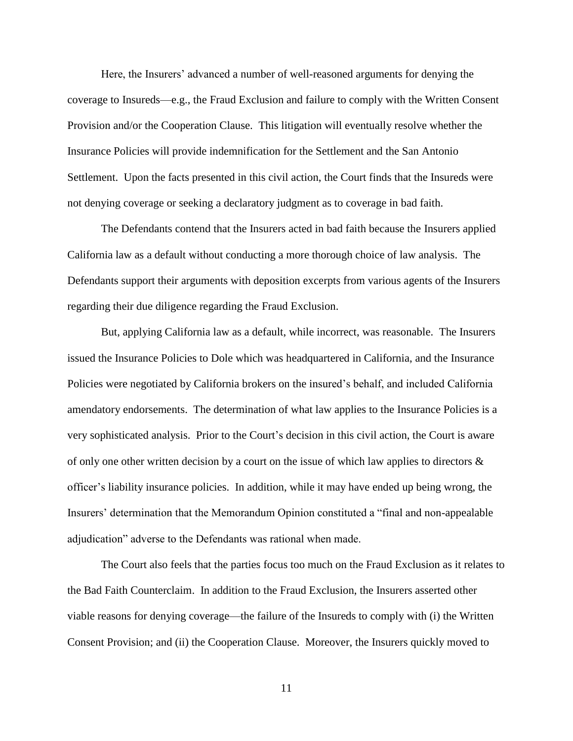Here, the Insurers' advanced a number of well-reasoned arguments for denying the coverage to Insureds—e.g., the Fraud Exclusion and failure to comply with the Written Consent Provision and/or the Cooperation Clause. This litigation will eventually resolve whether the Insurance Policies will provide indemnification for the Settlement and the San Antonio Settlement. Upon the facts presented in this civil action, the Court finds that the Insureds were not denying coverage or seeking a declaratory judgment as to coverage in bad faith.

The Defendants contend that the Insurers acted in bad faith because the Insurers applied California law as a default without conducting a more thorough choice of law analysis. The Defendants support their arguments with deposition excerpts from various agents of the Insurers regarding their due diligence regarding the Fraud Exclusion.

But, applying California law as a default, while incorrect, was reasonable. The Insurers issued the Insurance Policies to Dole which was headquartered in California, and the Insurance Policies were negotiated by California brokers on the insured's behalf, and included California amendatory endorsements. The determination of what law applies to the Insurance Policies is a very sophisticated analysis. Prior to the Court's decision in this civil action, the Court is aware of only one other written decision by a court on the issue of which law applies to directors  $\&$ officer's liability insurance policies. In addition, while it may have ended up being wrong, the Insurers' determination that the Memorandum Opinion constituted a "final and non-appealable adjudication" adverse to the Defendants was rational when made.

The Court also feels that the parties focus too much on the Fraud Exclusion as it relates to the Bad Faith Counterclaim. In addition to the Fraud Exclusion, the Insurers asserted other viable reasons for denying coverage—the failure of the Insureds to comply with (i) the Written Consent Provision; and (ii) the Cooperation Clause. Moreover, the Insurers quickly moved to

11